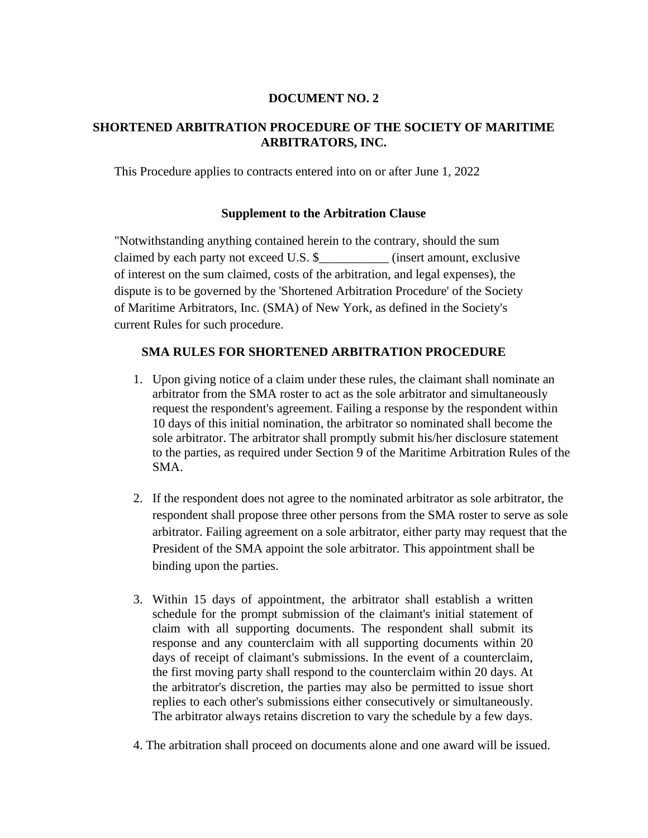## **DOCUMENT NO. 2**

## **SHORTENED ARBITRATION PROCEDURE OF THE SOCIETY OF MARITIME ARBITRATORS, INC.**

This Procedure applies to contracts entered into on or after June 1, 2022

## **Supplement to the Arbitration Clause**

"Notwithstanding anything contained herein to the contrary, should the sum claimed by each party not exceed U.S. \$ (insert amount, exclusive of interest on the sum claimed, costs of the arbitration, and legal expenses), the dispute is to be governed by the 'Shortened Arbitration Procedure' of the Society of Maritime Arbitrators, Inc. (SMA) of New York, as defined in the Society's current Rules for such procedure.

## **SMA RULES FOR SHORTENED ARBITRATION PROCEDURE**

- 1. Upon giving notice of a claim under these rules, the claimant shall nominate an arbitrator from the SMA roster to act as the sole arbitrator and simultaneously request the respondent's agreement. Failing a response by the respondent within 10 days of this initial nomination, the arbitrator so nominated shall become the sole arbitrator. The arbitrator shall promptly submit his/her disclosure statement to the parties, as required under Section 9 of the Maritime Arbitration Rules of the SMA.
- 2. If the respondent does not agree to the nominated arbitrator as sole arbitrator, the respondent shall propose three other persons from the SMA roster to serve as sole arbitrator. Failing agreement on a sole arbitrator, either party may request that the President of the SMA appoint the sole arbitrator. This appointment shall be binding upon the parties.
- 3. Within 15 days of appointment, the arbitrator shall establish a written schedule for the prompt submission of the claimant's initial statement of claim with all supporting documents. The respondent shall submit its response and any counterclaim with all supporting documents within 20 days of receipt of claimant's submissions. In the event of a counterclaim, the first moving party shall respond to the counterclaim within 20 days. At the arbitrator's discretion, the parties may also be permitted to issue short replies to each other's submissions either consecutively or simultaneously. The arbitrator always retains discretion to vary the schedule by a few days.
- 4. The arbitration shall proceed on documents alone and one award will be issued.